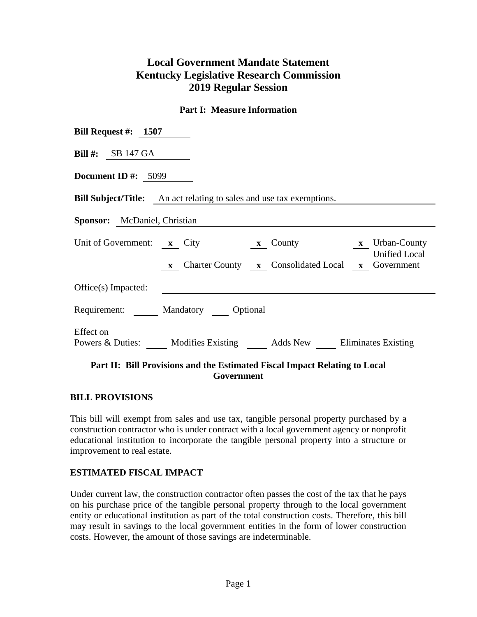# **Local Government Mandate Statement Kentucky Legislative Research Commission 2019 Regular Session**

## **Part I: Measure Information**

| <b>Bill #:</b> SB 147 GA<br><b>Document ID</b> #: $5099$<br><b>Bill Subject/Title:</b> An act relating to sales and use tax exemptions.<br><b>Sponsor:</b> McDaniel, Christian<br>Unit of Government: x City<br>x County<br>x X Urban-County<br><b>Unified Local</b><br>x Charter County x Consolidated Local x Government<br>Office(s) Impacted:<br>Requirement: Mandatory Optional<br>Effect on<br>Powers & Duties: Modifies Existing Adds New Eliminates Existing | Bill Request #: $1507$ |  |  |  |  |  |  |  |
|----------------------------------------------------------------------------------------------------------------------------------------------------------------------------------------------------------------------------------------------------------------------------------------------------------------------------------------------------------------------------------------------------------------------------------------------------------------------|------------------------|--|--|--|--|--|--|--|
|                                                                                                                                                                                                                                                                                                                                                                                                                                                                      |                        |  |  |  |  |  |  |  |
|                                                                                                                                                                                                                                                                                                                                                                                                                                                                      |                        |  |  |  |  |  |  |  |
|                                                                                                                                                                                                                                                                                                                                                                                                                                                                      |                        |  |  |  |  |  |  |  |
|                                                                                                                                                                                                                                                                                                                                                                                                                                                                      |                        |  |  |  |  |  |  |  |
|                                                                                                                                                                                                                                                                                                                                                                                                                                                                      |                        |  |  |  |  |  |  |  |
|                                                                                                                                                                                                                                                                                                                                                                                                                                                                      |                        |  |  |  |  |  |  |  |
|                                                                                                                                                                                                                                                                                                                                                                                                                                                                      |                        |  |  |  |  |  |  |  |
| Dont II. Bill Drovigions and the Estimated Fiscal Innact Delating to Local                                                                                                                                                                                                                                                                                                                                                                                           |                        |  |  |  |  |  |  |  |

### **Part II: Bill Provisions and the Estimated Fiscal Impact Relating to Local Government**

#### **BILL PROVISIONS**

This bill will exempt from sales and use tax, tangible personal property purchased by a construction contractor who is under contract with a local government agency or nonprofit educational institution to incorporate the tangible personal property into a structure or improvement to real estate.

## **ESTIMATED FISCAL IMPACT**

Under current law, the construction contractor often passes the cost of the tax that he pays on his purchase price of the tangible personal property through to the local government entity or educational institution as part of the total construction costs. Therefore, this bill may result in savings to the local government entities in the form of lower construction costs. However, the amount of those savings are indeterminable.